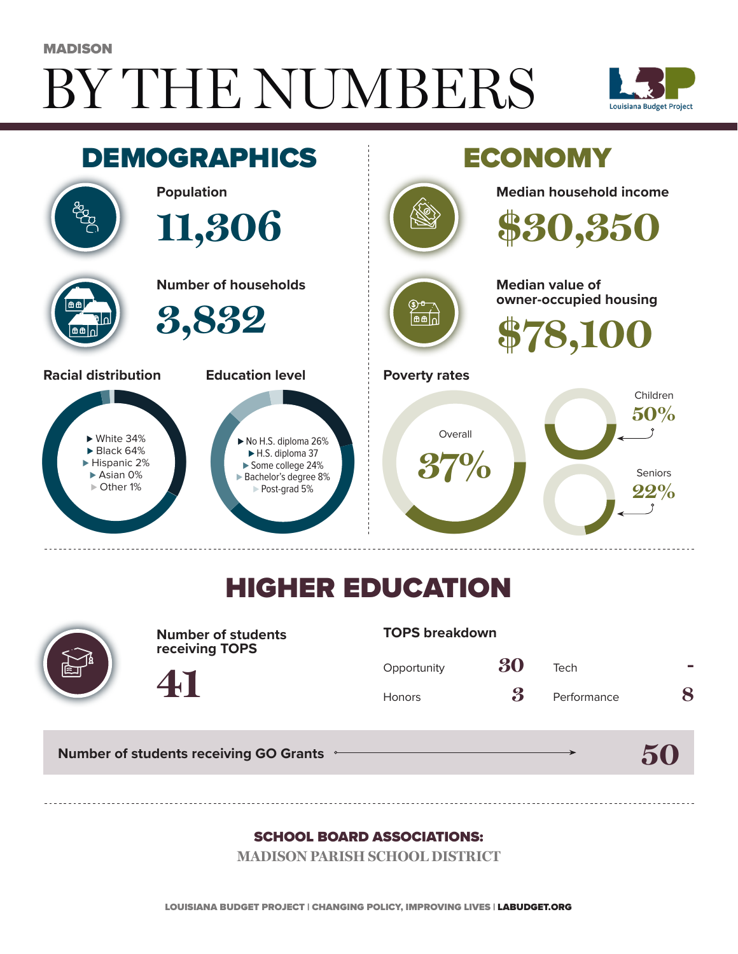# BY THE NUMBERS **MADISON**





## HIGHER EDUCATION



**Number of students receiving TOPS**

#### **TOPS breakdown**

| Opportunity   | 30                         | Tech        |   |
|---------------|----------------------------|-------------|---|
| <b>Honors</b> | $\boldsymbol{\mathcal{S}}$ | Performance | 8 |

**50**

**Number of students receiving GO Grants**

**41**

#### SCHOOL BOARD ASSOCIATIONS:

**MADISON PARISH SCHOOL DISTRICT**